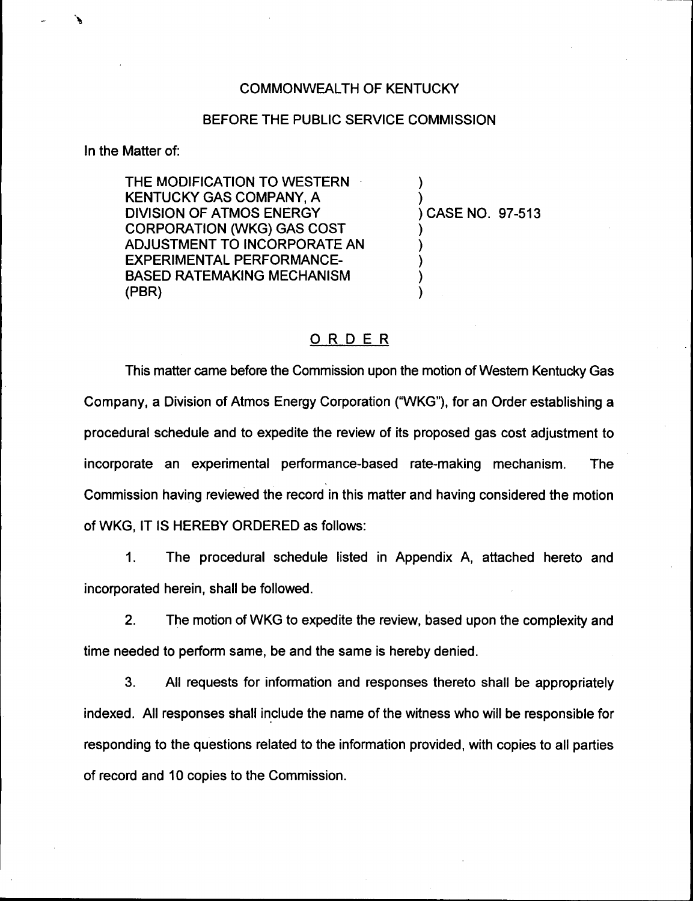#### COMMONWEALTH OF KENTUCKY

#### BEFORE THE PUBLIC SERVICE COMMISSION

In the Matter of:

THE MODIFICATION TO WESTERN KENTUCKY GAS COMPANY, A DIVISION OF ATMOS ENERGY CORPORATION (WKG) GAS COST ADJUSTMENT TO INCORPORATE AN EXPERIMENTAL PERFORMANCE-BASED RATEMAKING MECHANISM (PBR)

) CASE NO. 97-513

) )

) ) ) ) )

#### ORDER

This matter came before the Commission upon the motion of Western Kentucky Gas Company, a Division of Atmos Energy Corporation ("WKG"), for an Order establishing a procedural schedule and to expedite the review of its proposed gas cost adjustment to incorporate an experimental performance-based rate-making mechanism. The Commission having reviewed the record in this matter and having considered the motion of WKG, IT IS HEREBY ORDERED as follows:

1. The procedural schedule listed in Appendix A, attached hereto and incorporated herein, shall be followed.

2. The motion of WKG to expedite the review, based upon the complexity and time needed to perform same, be and the same is hereby denied.

3. All requests for information and responses thereto shall be appropriately indexed. All responses shall include the name of the witness who will be responsible for responding to the questions related to the information provided, with copies to all parties of record and 10 copies to the Commission.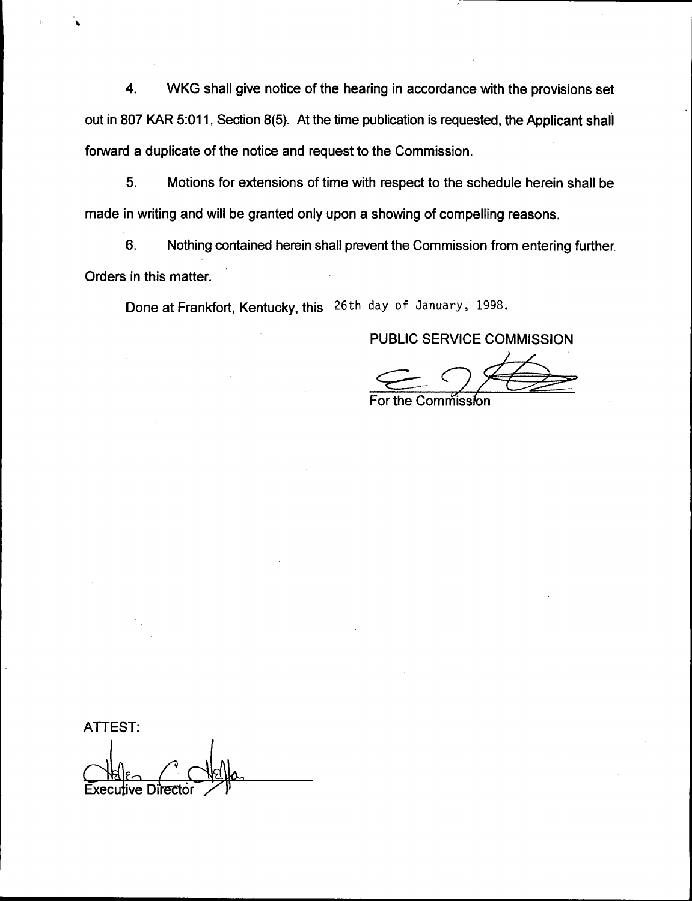4. WKG shall give notice of the hearing in accordance with the provisions set out in 807 KAR 5:011, Section 8(5). At the time publication is requested, the Applicant shall forward a duplicate of the notice and request to the Commission.

5. Motions for extensions of time with respect to the schedule herein shall be made in writing and will be granted only upon a showing of compelling reasons.

6. Nothing contained herein shall prevent the Commission from entering further Orders in this matter.

Done at Frankfort, Kentucky, this 26th day of January, 1998.

### PUBLIC SERVICE COMMISSION

For the Comm™ission

ATTEST:  $\triangle$ Executive Director